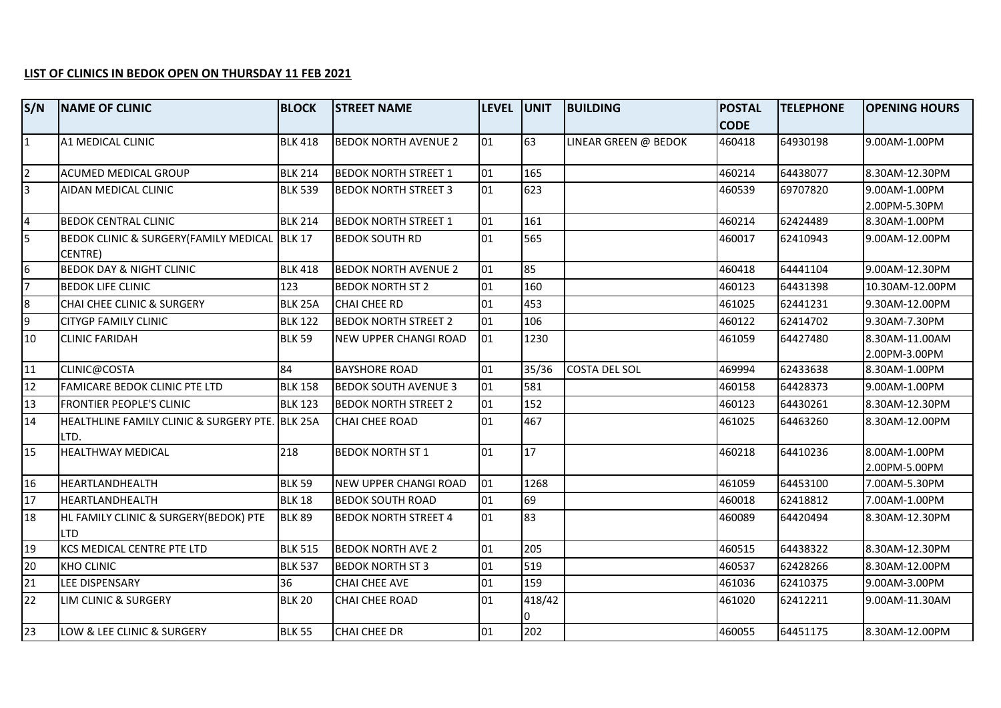## **LIST OF CLINICS IN BEDOK OPEN ON THURSDAY 11 FEB 2021**

| S/N             | <b>NAME OF CLINIC</b>                                   | <b>BLOCK</b>   | <b>STREET NAME</b>           | LEVEL UNIT |        | <b>BUILDING</b>      | <b>POSTAL</b> | <b>TELEPHONE</b> | <b>OPENING HOURS</b>            |
|-----------------|---------------------------------------------------------|----------------|------------------------------|------------|--------|----------------------|---------------|------------------|---------------------------------|
|                 |                                                         |                |                              |            |        |                      | <b>CODE</b>   |                  |                                 |
| $\overline{1}$  | A1 MEDICAL CLINIC                                       | <b>BLK 418</b> | <b>BEDOK NORTH AVENUE 2</b>  | 01         | 63     | LINEAR GREEN @ BEDOK | 460418        | 64930198         | 9.00AM-1.00PM                   |
| $\overline{2}$  | <b>ACUMED MEDICAL GROUP</b>                             | <b>BLK 214</b> | <b>BEDOK NORTH STREET 1</b>  | 01         | 165    |                      | 460214        | 64438077         | 8.30AM-12.30PM                  |
| $\overline{3}$  | AIDAN MEDICAL CLINIC                                    | <b>BLK 539</b> | <b>BEDOK NORTH STREET 3</b>  | 01         | 623    |                      | 460539        | 69707820         | 9.00AM-1.00PM                   |
|                 |                                                         |                |                              |            |        |                      |               |                  | 2.00PM-5.30PM                   |
| $\overline{4}$  | <b>BEDOK CENTRAL CLINIC</b>                             | <b>BLK 214</b> | <b>BEDOK NORTH STREET 1</b>  | 01         | 161    |                      | 460214        | 62424489         | 8.30AM-1.00PM                   |
| 5               | BEDOK CLINIC & SURGERY(FAMILY MEDICAL BLK 17<br>CENTRE) |                | <b>BEDOK SOUTH RD</b>        | 01         | 565    |                      | 460017        | 62410943         | 9.00AM-12.00PM                  |
| 6               | <b>BEDOK DAY &amp; NIGHT CLINIC</b>                     | <b>BLK 418</b> | <b>BEDOK NORTH AVENUE 2</b>  | 01         | 85     |                      | 460418        | 64441104         | 9.00AM-12.30PM                  |
| $\overline{7}$  | <b>BEDOK LIFE CLINIC</b>                                | 123            | <b>BEDOK NORTH ST 2</b>      | 01         | 160    |                      | 460123        | 64431398         | 10.30AM-12.00PM                 |
| 8               | CHAI CHEE CLINIC & SURGERY                              | BLK 25A        | <b>CHAI CHEE RD</b>          | 01         | 453    |                      | 461025        | 62441231         | 9.30AM-12.00PM                  |
| $\overline{9}$  | <b>CITYGP FAMILY CLINIC</b>                             | <b>BLK 122</b> | <b>BEDOK NORTH STREET 2</b>  | 01         | 106    |                      | 460122        | 62414702         | 9.30AM-7.30PM                   |
| 10              | <b>CLINIC FARIDAH</b>                                   | <b>BLK 59</b>  | <b>NEW UPPER CHANGI ROAD</b> | 01         | 1230   |                      | 461059        | 64427480         | 8.30AM-11.00AM<br>2.00PM-3.00PM |
| 11              | CLINIC@COSTA                                            | 84             | <b>BAYSHORE ROAD</b>         | 01         | 35/36  | <b>COSTA DEL SOL</b> | 469994        | 62433638         | 8.30AM-1.00PM                   |
| 12              | FAMICARE BEDOK CLINIC PTE LTD                           | <b>BLK 158</b> | <b>BEDOK SOUTH AVENUE 3</b>  | 01         | 581    |                      | 460158        | 64428373         | 9.00AM-1.00PM                   |
| 13              | <b>FRONTIER PEOPLE'S CLINIC</b>                         | <b>BLK 123</b> | <b>BEDOK NORTH STREET 2</b>  | 01         | 152    |                      | 460123        | 64430261         | 8.30AM-12.30PM                  |
| 14              | HEALTHLINE FAMILY CLINIC & SURGERY PTE. BLK 25A<br>LTD. |                | <b>CHAI CHEE ROAD</b>        | 01         | 467    |                      | 461025        | 64463260         | 8.30AM-12.00PM                  |
| 15              | <b>HEALTHWAY MEDICAL</b>                                | 218            | <b>BEDOK NORTH ST 1</b>      | 01         | 17     |                      | 460218        | 64410236         | 8.00AM-1.00PM<br>2.00PM-5.00PM  |
| 16              | HEARTLANDHEALTH                                         | <b>BLK 59</b>  | <b>NEW UPPER CHANGI ROAD</b> | 01         | 1268   |                      | 461059        | 64453100         | 7.00AM-5.30PM                   |
| 17              | HEARTLANDHEALTH                                         | <b>BLK 18</b>  | <b>BEDOK SOUTH ROAD</b>      | 01         | 69     |                      | 460018        | 62418812         | 7.00AM-1.00PM                   |
| 18              | HL FAMILY CLINIC & SURGERY(BEDOK) PTE<br>Iltd           | <b>BLK 89</b>  | <b>BEDOK NORTH STREET 4</b>  | 01         | 83     |                      | 460089        | 64420494         | 8.30AM-12.30PM                  |
| 19              | KCS MEDICAL CENTRE PTE LTD                              | <b>BLK 515</b> | <b>BEDOK NORTH AVE 2</b>     | 01         | 205    |                      | 460515        | 64438322         | 8.30AM-12.30PM                  |
| 20              | <b>KHO CLINIC</b>                                       | <b>BLK 537</b> | <b>BEDOK NORTH ST 3</b>      | 01         | 519    |                      | 460537        | 62428266         | 8.30AM-12.00PM                  |
| 21              | LEE DISPENSARY                                          | 36             | <b>CHAI CHEE AVE</b>         | 01         | 159    |                      | 461036        | 62410375         | 9.00AM-3.00PM                   |
| 22              | LIM CLINIC & SURGERY                                    | <b>BLK 20</b>  | CHAI CHEE ROAD               | 01         | 418/42 |                      | 461020        | 62412211         | 9.00AM-11.30AM                  |
| $\overline{23}$ | <b>LOW &amp; LEE CLINIC &amp; SURGERY</b>               | <b>BLK 55</b>  | <b>CHAI CHEE DR</b>          | 01         | 202    |                      | 460055        | 64451175         | 8.30AM-12.00PM                  |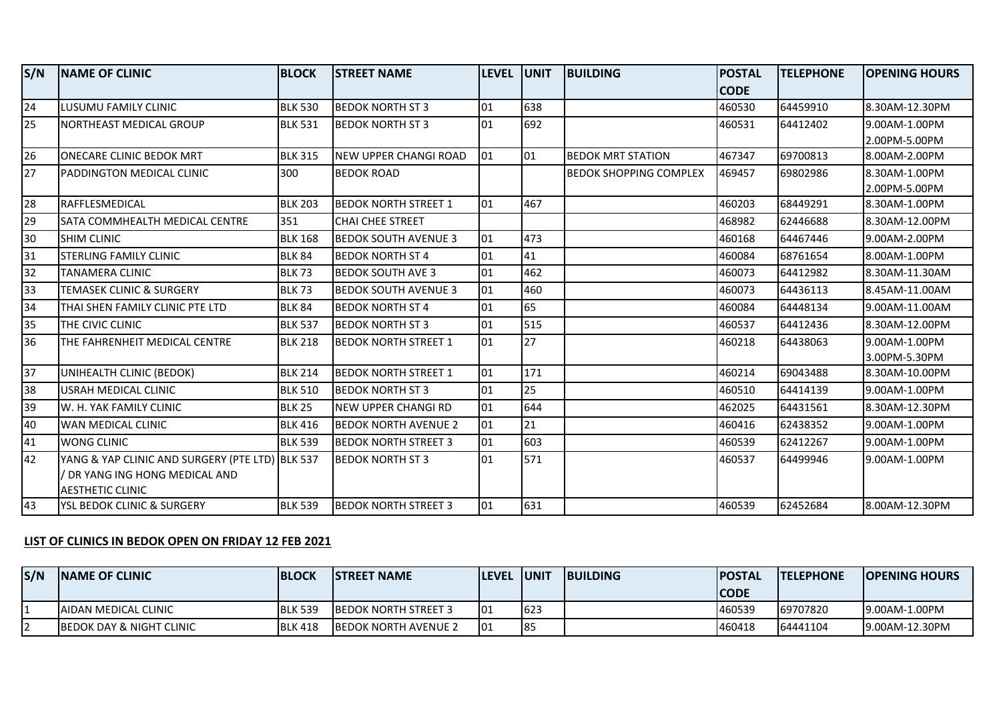| S/N             | <b>NAME OF CLINIC</b>                           | <b>BLOCK</b>   | <b>STREET NAME</b>           | LEVEL UNIT      |     | <b>BUILDING</b>               | <b>POSTAL</b> | <b>TELEPHONE</b> | <b>OPENING HOURS</b> |
|-----------------|-------------------------------------------------|----------------|------------------------------|-----------------|-----|-------------------------------|---------------|------------------|----------------------|
|                 |                                                 |                |                              |                 |     |                               | <b>CODE</b>   |                  |                      |
| $\overline{24}$ | <b>LUSUMU FAMILY CLINIC</b>                     | <b>BLK 530</b> | <b>BEDOK NORTH ST 3</b>      | 01              | 638 |                               | 460530        | 64459910         | 8.30AM-12.30PM       |
| 25              | NORTHEAST MEDICAL GROUP                         | <b>BLK 531</b> | <b>BEDOK NORTH ST 3</b>      | 01              | 692 |                               | 460531        | 64412402         | 9.00AM-1.00PM        |
|                 |                                                 |                |                              |                 |     |                               |               |                  | 2.00PM-5.00PM        |
| $\overline{26}$ | ONECARE CLINIC BEDOK MRT                        | <b>BLK 315</b> | <b>NEW UPPER CHANGI ROAD</b> | 01              | 01  | <b>BEDOK MRT STATION</b>      | 467347        | 69700813         | 8.00AM-2.00PM        |
| 27              | PADDINGTON MEDICAL CLINIC                       | 300            | <b>BEDOK ROAD</b>            |                 |     | <b>BEDOK SHOPPING COMPLEX</b> | 469457        | 69802986         | 8.30AM-1.00PM        |
|                 |                                                 |                |                              |                 |     |                               |               |                  | 2.00PM-5.00PM        |
| 28              | RAFFLESMEDICAL                                  | <b>BLK 203</b> | <b>BEDOK NORTH STREET 1</b>  | 01              | 467 |                               | 460203        | 68449291         | 8.30AM-1.00PM        |
| 29              | SATA COMMHEALTH MEDICAL CENTRE                  | 351            | <b>CHAI CHEE STREET</b>      |                 |     |                               | 468982        | 62446688         | 8.30AM-12.00PM       |
| 30              | <b>SHIM CLINIC</b>                              | <b>BLK 168</b> | <b>BEDOK SOUTH AVENUE 3</b>  | 01              | 473 |                               | 460168        | 64467446         | 9.00AM-2.00PM        |
| 31              | STERLING FAMILY CLINIC                          | <b>BLK 84</b>  | <b>BEDOK NORTH ST 4</b>      | 01              | 41  |                               | 460084        | 68761654         | 8.00AM-1.00PM        |
| 32              | TANAMERA CLINIC                                 | <b>BLK 73</b>  | <b>BEDOK SOUTH AVE 3</b>     | 01              | 462 |                               | 460073        | 64412982         | 8.30AM-11.30AM       |
| 33              | <b>TEMASEK CLINIC &amp; SURGERY</b>             | <b>BLK 73</b>  | <b>BEDOK SOUTH AVENUE 3</b>  | 01              | 460 |                               | 460073        | 64436113         | 8.45AM-11.00AM       |
| 34              | THAI SHEN FAMILY CLINIC PTE LTD                 | <b>BLK 84</b>  | <b>BEDOK NORTH ST 4</b>      | 01              | 65  |                               | 460084        | 64448134         | 9.00AM-11.00AM       |
| 35              | THE CIVIC CLINIC                                | <b>BLK 537</b> | <b>BEDOK NORTH ST 3</b>      | 01              | 515 |                               | 460537        | 64412436         | 8.30AM-12.00PM       |
| 36              | THE FAHRENHEIT MEDICAL CENTRE                   | <b>BLK 218</b> | <b>BEDOK NORTH STREET 1</b>  | 01              | 27  |                               | 460218        | 64438063         | 9.00AM-1.00PM        |
|                 |                                                 |                |                              |                 |     |                               |               |                  | 3.00PM-5.30PM        |
| 37              | UNIHEALTH CLINIC (BEDOK)                        | <b>BLK 214</b> | <b>BEDOK NORTH STREET 1</b>  | 01              | 171 |                               | 460214        | 69043488         | 8.30AM-10.00PM       |
| 38              | USRAH MEDICAL CLINIC                            | <b>BLK 510</b> | <b>BEDOK NORTH ST 3</b>      | 01              | 25  |                               | 460510        | 64414139         | 9.00AM-1.00PM        |
| 39              | W. H. YAK FAMILY CLINIC                         | <b>BLK 25</b>  | NEW UPPER CHANGI RD          | 01              | 644 |                               | 462025        | 64431561         | 8.30AM-12.30PM       |
| 40              | WAN MEDICAL CLINIC                              | <b>BLK 416</b> | <b>BEDOK NORTH AVENUE 2</b>  | 01              | 21  |                               | 460416        | 62438352         | 9.00AM-1.00PM        |
| 41              | WONG CLINIC                                     | <b>BLK 539</b> | <b>BEDOK NORTH STREET 3</b>  | 01              | 603 |                               | 460539        | 62412267         | 9.00AM-1.00PM        |
| 42              | YANG & YAP CLINIC AND SURGERY (PTE LTD) BLK 537 |                | <b>BEDOK NORTH ST 3</b>      | $\overline{01}$ | 571 |                               | 460537        | 64499946         | 9.00AM-1.00PM        |
|                 | / DR YANG ING HONG MEDICAL AND                  |                |                              |                 |     |                               |               |                  |                      |
|                 | <b>AESTHETIC CLINIC</b>                         |                |                              |                 |     |                               |               |                  |                      |
| 43              | YSL BEDOK CLINIC & SURGERY                      | <b>BLK 539</b> | <b>BEDOK NORTH STREET 3</b>  | 01              | 631 |                               | 460539        | 62452684         | 8.00AM-12.30PM       |

## **LIST OF CLINICS IN BEDOK OPEN ON FRIDAY 12 FEB 2021**

| S/N | <b>INAME OF CLINIC</b>               | <b>IBLOCK</b>  | <b>ISTREET NAME</b>          | <b>ILEVEL IUNIT</b> |           | <b>IBUILDING</b> | <b>IPOSTAL</b> | <b>ITELEPHONE</b> | <b>IOPENING HOURS</b> |
|-----|--------------------------------------|----------------|------------------------------|---------------------|-----------|------------------|----------------|-------------------|-----------------------|
|     |                                      |                |                              |                     |           |                  | <b>ICODE</b>   |                   |                       |
|     | <b>JAIDAN MEDICAL CLINIC</b>         | <b>BLK 539</b> | <b>IBEDOK NORTH STREET 3</b> | 101                 | 162:      |                  | 460539         | 69707820          | 19.00AM-1.00PM        |
|     | <b>IBEDOK DAY &amp; NIGHT CLINIC</b> | <b>BLK 418</b> | <b>IBEDOK NORTH AVENUE 2</b> | 101                 | <b>85</b> |                  | 460418         | 64441104          | 19.00AM-12.30PM       |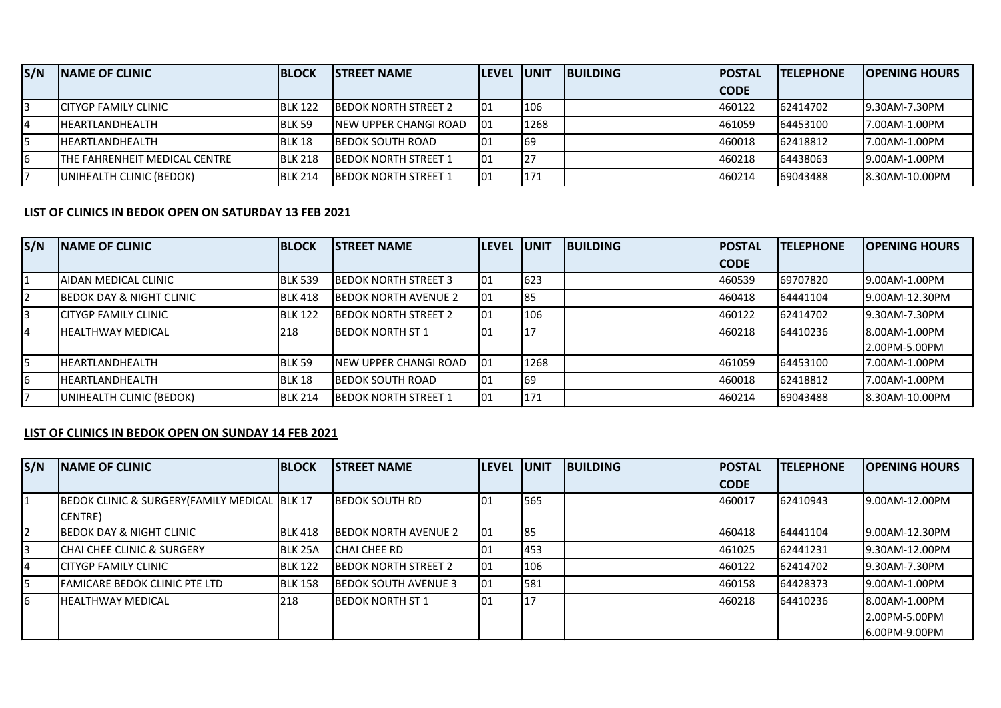| S/N | <b>INAME OF CLINIC</b>                | <b>BLOCK</b>   | <b>ISTREET NAME</b>          | <b>ILEVEL UNIT</b> |      | <b>IBUILDING</b> | <b>IPOSTAL</b> | <b>ITELEPHONE</b> | <b>IOPENING HOURS</b> |
|-----|---------------------------------------|----------------|------------------------------|--------------------|------|------------------|----------------|-------------------|-----------------------|
|     |                                       |                |                              |                    |      |                  | <b>ICODE</b>   |                   |                       |
|     | <b>ICITYGP FAMILY CLINIC</b>          | <b>BLK 122</b> | <b>IBEDOK NORTH STREET 2</b> | 101                | 106  |                  | 1460122        | 62414702          | 19.30AM-7.30PM        |
| I4  | <b>IHEARTLANDHEALTH</b>               | <b>BLK 59</b>  | INEW UPPER CHANGI ROAD       | 101                | 1268 |                  | 1461059        | 64453100          | 7.00AM-1.00PM         |
|     | <b>IHEARTLANDHEALTH</b>               | BLK 18         | <b>IBEDOK SOUTH ROAD</b>     | 101                | 169  |                  | 460018         | 62418812          | 7.00AM-1.00PM         |
| 16  | <b>ITHE FAHRENHEIT MEDICAL CENTRE</b> | <b>BLK 218</b> | <b>IBEDOK NORTH STREET 1</b> | 101                | 127  |                  | 460218         | 64438063          | 19.00AM-1.00PM        |
|     | UNIHEALTH CLINIC (BEDOK)              | <b>BLK 214</b> | <b>IBEDOK NORTH STREET 1</b> | 101                | 171  |                  | 1460214        | 69043488          | 8.30AM-10.00PM        |

## **LIST OF CLINICS IN BEDOK OPEN ON SATURDAY 13 FEB 2021**

| S/N | <b>INAME OF CLINIC</b>              | <b>BLOCK</b>   | <b>ISTREET NAME</b>          | <b>ILEVEL</b> | <b>UNIT</b> | <b>IBUILDING</b> | <b>IPOSTAL</b> | <b>ITELEPHONE</b> | <b>OPENING HOURS</b> |
|-----|-------------------------------------|----------------|------------------------------|---------------|-------------|------------------|----------------|-------------------|----------------------|
|     |                                     |                |                              |               |             |                  | <b>ICODE</b>   |                   |                      |
|     | AIDAN MEDICAL CLINIC                | <b>BLK 539</b> | <b>BEDOK NORTH STREET 3</b>  | 101           | 623         |                  | 460539         | 69707820          | 19.00AM-1.00PM       |
| 12  | <b>BEDOK DAY &amp; NIGHT CLINIC</b> | <b>BLK 418</b> | <b>IBEDOK NORTH AVENUE 2</b> | 101           | 85          |                  | 460418         | 64441104          | 9.00AM-12.30PM       |
| 3   | ICITYGP FAMILY CLINIC               | <b>BLK 122</b> | <b>BEDOK NORTH STREET 2</b>  | 101           | 106         |                  | 460122         | 62414702          | 19.30AM-7.30PM       |
| 4   | <b>IHEALTHWAY MEDICAL</b>           | 218            | <b>IBEDOK NORTH ST 1</b>     | 101           |             |                  | 460218         | 64410236          | 18.00AM-1.00PM       |
|     |                                     |                |                              |               |             |                  |                |                   | 2.00PM-5.00PM        |
| 5   | <b>IHEARTLANDHEALTH</b>             | BLK 59         | INEW UPPER CHANGI ROAD       | 101           | 1268        |                  | 461059         | 64453100          | 17.00AM-1.00PM       |
| 6   | <b>IHEARTLANDHEALTH</b>             | BLK 18         | <b>IBEDOK SOUTH ROAD</b>     | 01            | 69          |                  | 460018         | 62418812          | 7.00AM-1.00PM        |
|     | UNIHEALTH CLINIC (BEDOK)            | <b>BLK 214</b> | IBEDOK NORTH STREET 1        | 01            | 171         |                  | 460214         | 69043488          | 8.30AM-10.00PM       |

## **LIST OF CLINICS IN BEDOK OPEN ON SUNDAY 14 FEB 2021**

| S/N           | <b>NAME OF CLINIC</b>                         | <b>BLOCK</b>   | <b>ISTREET NAME</b>          | <b>LEVEL</b> | <b>JUNIT</b> | <b>BUILDING</b> | <b>POSTAL</b> | <b>TELEPHONE</b> | <b>OPENING HOURS</b> |
|---------------|-----------------------------------------------|----------------|------------------------------|--------------|--------------|-----------------|---------------|------------------|----------------------|
|               |                                               |                |                              |              |              |                 | <b>CODE</b>   |                  |                      |
| 1             | BEDOK CLINIC & SURGERY (FAMILY MEDICAL BLK 17 |                | <b>IBEDOK SOUTH RD</b>       | 01           | 565          |                 | 460017        | 62410943         | 9.00AM-12.00PM       |
|               | ICENTRE)                                      |                |                              |              |              |                 |               |                  |                      |
| $\mathsf{I2}$ | <b>BEDOK DAY &amp; NIGHT CLINIC</b>           | <b>BLK 418</b> | <b>BEDOK NORTH AVENUE 2</b>  | 01           | <b>85</b>    |                 | 460418        | 64441104         | 9.00AM-12.30PM       |
| I3            | ICHAI CHEE CLINIC & SURGERY                   | <b>BLK 25A</b> | <b>ICHAI CHEE RD</b>         | 01           | 453          |                 | 461025        | 62441231         | 9.30AM-12.00PM       |
| 4             | <b>ICITYGP FAMILY CLINIC</b>                  | <b>BLK 122</b> | <b>IBEDOK NORTH STREET 2</b> | 01           | 106          |                 | 460122        | 62414702         | 19.30AM-7.30PM       |
| 5             | <b>IFAMICARE BEDOK CLINIC PTE LTD</b>         | <b>BLK 158</b> | <b>IBEDOK SOUTH AVENUE 3</b> | 01           | 581          |                 | 460158        | 64428373         | 19.00AM-1.00PM       |
| I6            | <b>IHEALTHWAY MEDICAL</b>                     | 218            | <b>BEDOK NORTH ST 1</b>      | 01           | 17           |                 | 460218        | 64410236         | 8.00AM-1.00PM        |
|               |                                               |                |                              |              |              |                 |               |                  | 12.00PM-5.00PM       |
|               |                                               |                |                              |              |              |                 |               |                  | 16.00PM-9.00PM       |